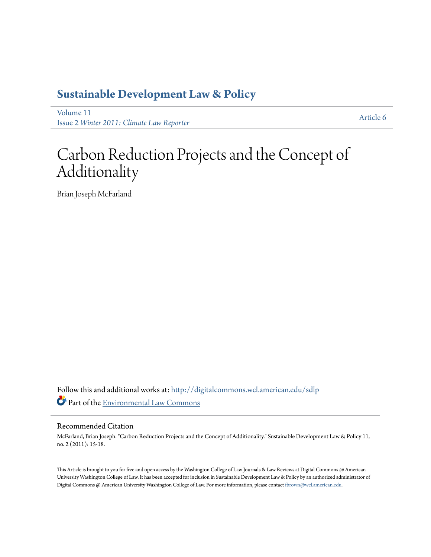### **[Sustainable Development Law & Policy](http://digitalcommons.wcl.american.edu/sdlp?utm_source=digitalcommons.wcl.american.edu%2Fsdlp%2Fvol11%2Fiss2%2F6&utm_medium=PDF&utm_campaign=PDFCoverPages)**

[Volume 11](http://digitalcommons.wcl.american.edu/sdlp/vol11?utm_source=digitalcommons.wcl.american.edu%2Fsdlp%2Fvol11%2Fiss2%2F6&utm_medium=PDF&utm_campaign=PDFCoverPages) Issue 2 *[Winter 2011: Climate Law Reporter](http://digitalcommons.wcl.american.edu/sdlp/vol11/iss2?utm_source=digitalcommons.wcl.american.edu%2Fsdlp%2Fvol11%2Fiss2%2F6&utm_medium=PDF&utm_campaign=PDFCoverPages)*

[Article 6](http://digitalcommons.wcl.american.edu/sdlp/vol11/iss2/6?utm_source=digitalcommons.wcl.american.edu%2Fsdlp%2Fvol11%2Fiss2%2F6&utm_medium=PDF&utm_campaign=PDFCoverPages)

### Carbon Reduction Projects and the Concept of Additionality

Brian Joseph McFarland

Follow this and additional works at: [http://digitalcommons.wcl.american.edu/sdlp](http://digitalcommons.wcl.american.edu/sdlp?utm_source=digitalcommons.wcl.american.edu%2Fsdlp%2Fvol11%2Fiss2%2F6&utm_medium=PDF&utm_campaign=PDFCoverPages) Part of the [Environmental Law Commons](http://network.bepress.com/hgg/discipline/599?utm_source=digitalcommons.wcl.american.edu%2Fsdlp%2Fvol11%2Fiss2%2F6&utm_medium=PDF&utm_campaign=PDFCoverPages)

#### Recommended Citation

McFarland, Brian Joseph. "Carbon Reduction Projects and the Concept of Additionality." Sustainable Development Law & Policy 11, no. 2 (2011): 15-18.

This Article is brought to you for free and open access by the Washington College of Law Journals & Law Reviews at Digital Commons @ American University Washington College of Law. It has been accepted for inclusion in Sustainable Development Law & Policy by an authorized administrator of Digital Commons @ American University Washington College of Law. For more information, please contact [fbrown@wcl.american.edu](mailto:fbrown@wcl.american.edu).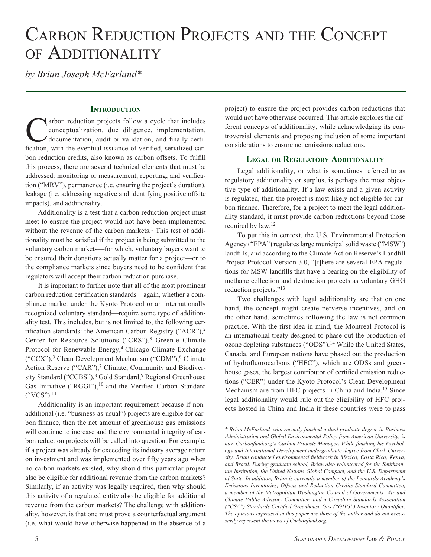# CARBON REDUCTION PROJECTS AND THE CONCEPT of Additionality

*by Brian Joseph McFarland\**

#### **INTRODUCTION**

arbon reduction projects follow a cycle that includes conceptualization, due diligence, implementation, documentation, audit or validation, and finally certification, with the eventual issuance of verified, serialized carbon reduction credits, also known as carbon offsets. To fulfill this process, there are several technical elements that must be addressed: monitoring or measurement, reporting, and verification ("MRV"), permanence (i.e. ensuring the project's duration), leakage (i.e. addressing negative and identifying positive offsite impacts), and additionality.

Additionality is a test that a carbon reduction project must meet to ensure the project would not have been implemented without the revenue of the carbon markets.<sup>1</sup> This test of additionality must be satisfied if the project is being submitted to the voluntary carbon markets—for which, voluntary buyers want to be ensured their donations actually matter for a project—or to the compliance markets since buyers need to be confident that regulators will accept their carbon reduction purchase.

It is important to further note that all of the most prominent carbon reduction certification standards—again, whether a compliance market under the Kyoto Protocol or an internationally recognized voluntary standard—require some type of additionality test. This includes, but is not limited to, the following certification standards: the American Carbon Registry ("ACR"),<sup>2</sup> Center for Resource Solutions ("CRS"),<sup>3</sup> Green-e Climate Protocol for Renewable Energy,<sup>4</sup> Chicago Climate Exchange  $({}^{\circ}CCX^{\prime\prime})$ ,<sup>5</sup> Clean Development Mechanism  $({}^{\circ}CDM^{\prime\prime})$ ,<sup>6</sup> Climate Action Reserve ("CAR"),<sup>7</sup> Climate, Community and Biodiversity Standard ("CCBS"),<sup>8</sup> Gold Standard,<sup>9</sup> Regional Greenhouse Gas Initiative ("RGGI"),<sup>10</sup> and the Verified Carbon Standard ("VCS").11

Additionality is an important requirement because if nonadditional (i.e. "business-as-usual") projects are eligible for carbon finance, then the net amount of greenhouse gas emissions will continue to increase and the environmental integrity of carbon reduction projects will be called into question. For example, if a project was already far exceeding its industry average return on investment and was implemented over fifty years ago when no carbon markets existed, why should this particular project also be eligible for additional revenue from the carbon markets? Similarly, if an activity was legally required, then why should this activity of a regulated entity also be eligible for additional revenue from the carbon markets? The challenge with additionality, however, is that one must prove a counterfactual argument (i.e. what would have otherwise happened in the absence of a

project) to ensure the project provides carbon reductions that would not have otherwise occurred. This article explores the different concepts of additionality, while acknowledging its controversial elements and proposing inclusion of some important considerations to ensure net emissions reductions.

#### **Legal or Regulatory Additionality**

Legal additionality, or what is sometimes referred to as regulatory additionality or surplus, is perhaps the most objective type of additionality. If a law exists and a given activity is regulated, then the project is most likely not eligible for carbon finance. Therefore, for a project to meet the legal additionality standard, it must provide carbon reductions beyond those required by law.12

To put this in context, the U.S. Environmental Protection Agency ("EPA") regulates large municipal solid waste ("MSW") landfills, and according to the Climate Action Reserve's Landfill Project Protocol Version 3.0, "[t]here are several EPA regulations for MSW landfills that have a bearing on the eligibility of methane collection and destruction projects as voluntary GHG reduction projects."<sup>13</sup>

Two challenges with legal additionality are that on one hand, the concept might create perverse incentives, and on the other hand, sometimes following the law is not common practice. With the first idea in mind, the Montreal Protocol is an international treaty designed to phase out the production of ozone depleting substances ("ODS").<sup>14</sup> While the United States, Canada, and European nations have phased out the production of hydrofluorocarbons ("HFC"), which are ODSs and greenhouse gases, the largest contributor of certified emission reductions ("CER") under the Kyoto Protocol's Clean Development Mechanism are from HFC projects in China and India.15 Since legal additionality would rule out the eligibility of HFC projects hosted in China and India if these countries were to pass

*<sup>\*</sup> Brian McFarland, who recently finished a dual graduate degree in Business Administration and Global Environmental Policy from American University, is now Carbonfund.org's Carbon Projects Manager. While finishing his Psychology and International Development undergraduate degree from Clark University, Brian conducted environmental fieldwork in Mexico, Costa Rica, Kenya, and Brazil. During graduate school, Brian also volunteered for the Smithsonian Institution, the United Nations Global Compact, and the U.S. Department of State. In addition, Brian is currently a member of the Leonardo Academy's Emissions Inventories, Offsets and Reduction Credits Standard Committee, a member of the Metropolitan Washington Council of Governments' Air and Climate Public Advisory Committee, and a Canadian Standards Association ("CSA") Standards Certified Greenhouse Gas ("GHG") Inventory Quantifier. The opinions expressed in this paper are those of the author and do not necessarily represent the views of Carbonfund.org.*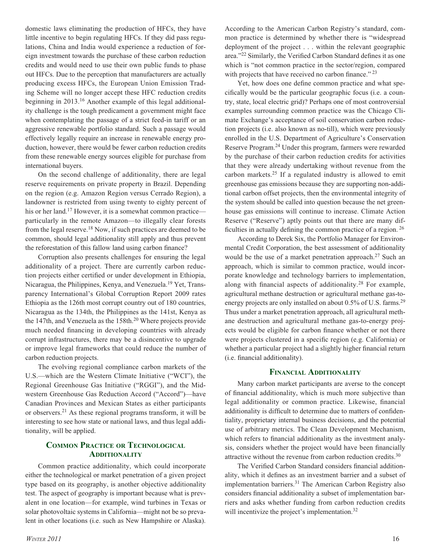domestic laws eliminating the production of HFCs, they have little incentive to begin regulating HFCs. If they did pass regulations, China and India would experience a reduction of foreign investment towards the purchase of these carbon reduction credits and would need to use their own public funds to phase out HFCs. Due to the perception that manufacturers are actually producing excess HFCs, the European Union Emission Trading Scheme will no longer accept these HFC reduction credits beginning in 2013.16 Another example of this legal additionality challenge is the tough predicament a government might face when contemplating the passage of a strict feed-in tariff or an aggressive renewable portfolio standard. Such a passage would effectively legally require an increase in renewable energy production, however, there would be fewer carbon reduction credits from these renewable energy sources eligible for purchase from international buyers.

On the second challenge of additionality, there are legal reserve requirements on private property in Brazil. Depending on the region (e.g. Amazon Region versus Cerrado Region), a landowner is restricted from using twenty to eighty percent of his or her land.<sup>17</sup> However, it is a somewhat common practice particularly in the remote Amazon—to illegally clear forests from the legal reserve.18 Now, if such practices are deemed to be common, should legal additionality still apply and thus prevent the reforestation of this fallow land using carbon finance?

Corruption also presents challenges for ensuring the legal additionality of a project. There are currently carbon reduction projects either certified or under development in Ethiopia, Nicaragua, the Philippines, Kenya, and Venezuela.19 Yet, Transparency International's Global Corruption Report 2009 rates Ethiopia as the 126th most corrupt country out of 180 countries, Nicaragua as the 134th, the Philippines as the 141st, Kenya as the 147th, and Venezuela as the  $158th<sup>20</sup>$  Where projects provide much needed financing in developing countries with already corrupt infrastructures, there may be a disincentive to upgrade or improve legal frameworks that could reduce the number of carbon reduction projects.

The evolving regional compliance carbon markets of the U.S.—which are the Western Climate Initiative ("WCI"), the Regional Greenhouse Gas Initiative ("RGGI"), and the Midwestern Greenhouse Gas Reduction Accord ("Accord")—have Canadian Provinces and Mexican States as either participants or observers.21 As these regional programs transform, it will be interesting to see how state or national laws, and thus legal additionality, will be applied.

#### **Common Practice or Technological Additionality**

Common practice additionality, which could incorporate either the technological or market penetration of a given project type based on its geography, is another objective additionality test. The aspect of geography is important because what is prevalent in one location—for example, wind turbines in Texas or solar photovoltaic systems in California—might not be so prevalent in other locations (i.e. such as New Hampshire or Alaska).

cifically would be the particular geographic focus (i.e. a country, state, local electric grid)? Perhaps one of most controversial examples surrounding common practice was the Chicago Climate Exchange's acceptance of soil conservation carbon reduc-

tion projects (i.e. also known as no-till), which were previously enrolled in the U.S. Department of Agriculture's Conservation Reserve Program.24 Under this program, farmers were rewarded by the purchase of their carbon reduction credits for activities that they were already undertaking without revenue from the carbon markets.25 If a regulated industry is allowed to emit greenhouse gas emissions because they are supporting non-additional carbon offset projects, then the environmental integrity of the system should be called into question because the net greenhouse gas emissions will continue to increase. Climate Action Reserve ("Reserve") aptly points out that there are many difficulties in actually defining the common practice of a region. 26

According to the American Carbon Registry's standard, common practice is determined by whether there is "widespread deployment of the project . . . within the relevant geographic area."22 Similarly, the Verified Carbon Standard defines it as one which is "not common practice in the sector/region, compared

Yet, how does one define common practice and what spe-

with projects that have received no carbon finance."<sup>23</sup>

According to Derek Six, the Portfolio Manager for Environmental Credit Corporation, the best assessment of additionality would be the use of a market penetration approach.<sup>27</sup> Such an approach, which is similar to common practice, would incorporate knowledge and technology barriers to implementation, along with financial aspects of additionality.28 For example, agricultural methane destruction or agricultural methane gas-toenergy projects are only installed on about 0.5% of U.S. farms.<sup>29</sup> Thus under a market penetration approach, all agricultural methane destruction and agricultural methane gas-to-energy projects would be eligible for carbon finance whether or not there were projects clustered in a specific region (e.g. California) or whether a particular project had a slightly higher financial return (i.e. financial additionality).

#### **Financial Additionality**

Many carbon market participants are averse to the concept of financial additionality, which is much more subjective than legal additionality or common practice. Likewise, financial additionality is difficult to determine due to matters of confidentiality, proprietary internal business decisions, and the potential use of arbitrary metrics. The Clean Development Mechanism, which refers to financial additionality as the investment analysis, considers whether the project would have been financially attractive without the revenue from carbon reduction credits.30

The Verified Carbon Standard considers financial additionality, which it defines as an investment barrier and a subset of implementation barriers.<sup>31</sup> The American Carbon Registry also considers financial additionality a subset of implementation barriers and asks whether funding from carbon reduction credits will incentivize the project's implementation.<sup>32</sup>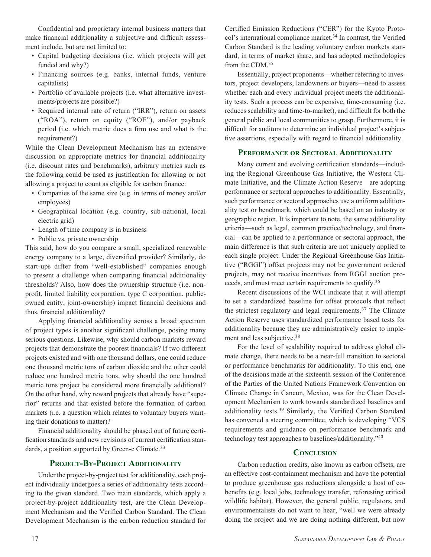Confidential and proprietary internal business matters that make financial additionality a subjective and difficult assessment include, but are not limited to:

- Capital budgeting decisions (i.e. which projects will get funded and why?)
- Financing sources (e.g. banks, internal funds, venture capitalists)
- • Portfolio of available projects (i.e. what alternative investments/projects are possible?)
- Required internal rate of return ("IRR"), return on assets ("ROA"), return on equity ("ROE"), and/or payback period (i.e. which metric does a firm use and what is the requirement?)

While the Clean Development Mechanism has an extensive discussion on appropriate metrics for financial additionality (i.e. discount rates and benchmarks), arbitrary metrics such as the following could be used as justification for allowing or not allowing a project to count as eligible for carbon finance:

- Companies of the same size (e.g. in terms of money and/or employees)
- • Geographical location (e.g. country, sub-national, local electric grid)
- Length of time company is in business
- Public vs. private ownership

This said, how do you compare a small, specialized renewable energy company to a large, diversified provider? Similarly, do start-ups differ from "well-established" companies enough to present a challenge when comparing financial additionality thresholds? Also, how does the ownership structure (i.e. nonprofit, limited liability corporation, type C corporation, publicowned entity, joint-ownership) impact financial decisions and thus, financial additionality?

Applying financial additionality across a broad spectrum of project types is another significant challenge, posing many serious questions. Likewise, why should carbon markets reward projects that demonstrate the poorest financials? If two different projects existed and with one thousand dollars, one could reduce one thousand metric tons of carbon dioxide and the other could reduce one hundred metric tons, why should the one hundred metric tons project be considered more financially additional? On the other hand, why reward projects that already have "superior" returns and that existed before the formation of carbon markets (i.e. a question which relates to voluntary buyers wanting their donations to matter)?

Financial additionality should be phased out of future certification standards and new revisions of current certification standards, a position supported by Green-e Climate.<sup>33</sup>

#### **Project-By-Project Additionality**

Under the project-by-project test for additionality, each project individually undergoes a series of additionality tests according to the given standard. Two main standards, which apply a project-by-project additionality test, are the Clean Development Mechanism and the Verified Carbon Standard. The Clean Development Mechanism is the carbon reduction standard for Certified Emission Reductions ("CER") for the Kyoto Protocol's international compliance market.<sup>34</sup> In contrast, the Verified Carbon Standard is the leading voluntary carbon markets standard, in terms of market share, and has adopted methodologies from the CDM.35

Essentially, project proponents—whether referring to investors, project developers, landowners or buyers—need to assess whether each and every individual project meets the additionality tests. Such a process can be expensive, time-consuming (i.e. reduces scalability and time-to-market), and difficult for both the general public and local communities to grasp. Furthermore, it is difficult for auditors to determine an individual project's subjective assertions, especially with regard to financial additionality.

#### **Performance or Sectoral Additionality**

Many current and evolving certification standards—including the Regional Greenhouse Gas Initiative, the Western Climate Initiative, and the Climate Action Reserve—are adopting performance or sectoral approaches to additionality. Essentially, such performance or sectoral approaches use a uniform additionality test or benchmark, which could be based on an industry or geographic region. It is important to note, the same additionality criteria—such as legal, common practice/technology, and financial—can be applied to a performance or sectoral approach, the main difference is that such criteria are not uniquely applied to each single project. Under the Regional Greenhouse Gas Initiative ("RGGI") offset projects may not be government ordered projects, may not receive incentives from RGGI auction proceeds, and must meet certain requirements to qualify.36

Recent discussions of the WCI indicate that it will attempt to set a standardized baseline for offset protocols that reflect the strictest regulatory and legal requirements.<sup>37</sup> The Climate Action Reserve uses standardized performance based tests for additionality because they are administratively easier to implement and less subjective.38

For the level of scalability required to address global climate change, there needs to be a near-full transition to sectoral or performance benchmarks for additionality. To this end, one of the decisions made at the sixteenth session of the Conference of the Parties of the United Nations Framework Convention on Climate Change in Cancun, Mexico, was for the Clean Development Mechanism to work towards standardized baselines and additionality tests.39 Similarly, the Verified Carbon Standard has convened a steering committee, which is developing "VCS requirements and guidance on performance benchmark and technology test approaches to baselines/additionality."40

#### **Conclusion**

Carbon reduction credits, also known as carbon offsets, are an effective cost-containment mechanism and have the potential to produce greenhouse gas reductions alongside a host of cobenefits (e.g. local jobs, technology transfer, reforesting critical wildlife habitat). However, the general public, regulators, and environmentalists do not want to hear, "well we were already doing the project and we are doing nothing different, but now